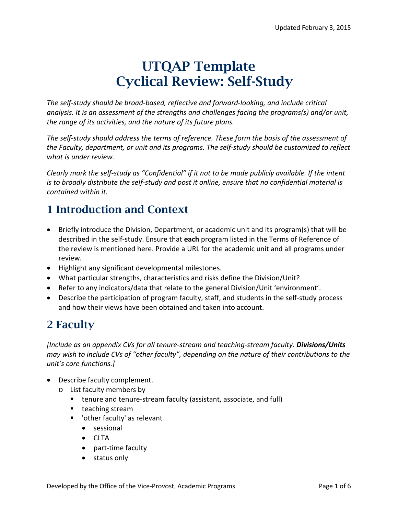# UTQAP Template Cyclical Review: Self-Study

*The self-study should be broad-based, reflective and forward-looking, and include critical analysis. It is an assessment of the strengths and challenges facing the programs(s) and/or unit, the range of its activities, and the nature of its future plans.*

*The self-study should address the terms of reference. These form the basis of the assessment of the Faculty, department, or unit and its programs. The self-study should be customized to reflect what is under review.*

*Clearly mark the self-study as "Confidential" if it not to be made publicly available. If the intent is to broadly distribute the self-study and post it online, ensure that no confidential material is contained within it.*

## 1 Introduction and Context

- Briefly introduce the Division, Department, or academic unit and its program(s) that will be described in the self-study. Ensure that **each** program listed in the Terms of Reference of the review is mentioned here. Provide a URL for the academic unit and all programs under review.
- Highlight any significant developmental milestones.
- What particular strengths, characteristics and risks define the Division/Unit?
- Refer to any indicators/data that relate to the general Division/Unit 'environment'.
- Describe the participation of program faculty, staff, and students in the self-study process and how their views have been obtained and taken into account.

## 2 Faculty

*[Include as an appendix CVs for all tenure-stream and teaching-stream faculty. Divisions/Units may wish to include CVs of "other faculty", depending on the nature of their contributions to the unit's core functions.]*

- Describe faculty complement.
	- o List faculty members by
		- tenure and tenure-stream faculty (assistant, associate, and full)
		- $\blacksquare$  teaching stream
		- 'other faculty' as relevant
			- sessional
			- CLTA
			- part-time faculty
			- status only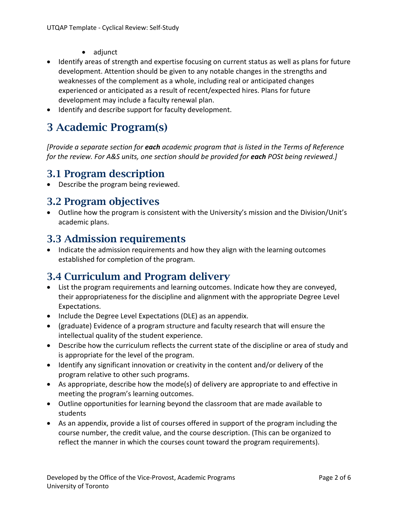- adjunct
- Identify areas of strength and expertise focusing on current status as well as plans for future development. Attention should be given to any notable changes in the strengths and weaknesses of the complement as a whole, including real or anticipated changes experienced or anticipated as a result of recent/expected hires. Plans for future development may include a faculty renewal plan.
- Identify and describe support for faculty development.

### 3 Academic Program(s)

*[Provide a separate section for each academic program that is listed in the Terms of Reference for the review. For A&S units, one section should be provided for each POSt being reviewed.]*

#### 3.1 Program description

• Describe the program being reviewed.

#### 3.2 Program objectives

• Outline how the program is consistent with the University's mission and the Division/Unit's academic plans.

#### 3.3 Admission requirements

• Indicate the admission requirements and how they align with the learning outcomes established for completion of the program.

### 3.4 Curriculum and Program delivery

- List the program requirements and learning outcomes. Indicate how they are conveyed, their appropriateness for the discipline and alignment with the appropriate Degree Level Expectations.
- Include the Degree Level Expectations (DLE) as an appendix.
- (graduate) Evidence of a program structure and faculty research that will ensure the intellectual quality of the student experience.
- Describe how the curriculum reflects the current state of the discipline or area of study and is appropriate for the level of the program.
- Identify any significant innovation or creativity in the content and/or delivery of the program relative to other such programs.
- As appropriate, describe how the mode(s) of delivery are appropriate to and effective in meeting the program's learning outcomes.
- Outline opportunities for learning beyond the classroom that are made available to students
- As an appendix, provide a list of courses offered in support of the program including the course number, the credit value, and the course description. (This can be organized to reflect the manner in which the courses count toward the program requirements).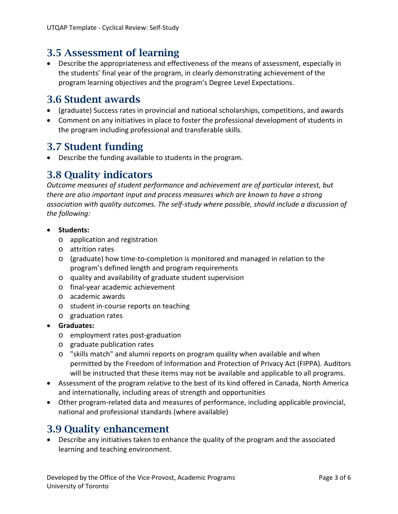#### 3.5 Assessment of learning

• Describe the appropriateness and effectiveness of the means of assessment, especially in the students' final year of the program, in clearly demonstrating achievement of the program learning objectives and the program's Degree Level Expectations.

#### 3.6 Student awards

- (graduate) Success rates in provincial and national scholarships, competitions, and awards
- Comment on any initiatives in place to foster the professional development of students in the program including professional and transferable skills.

#### 3.7 Student funding

• Describe the funding available to students in the program.

#### 3.8 Quality indicators

*Outcome measures of student performance and achievement are of particular interest, but there are also important input and process measures which are known to have a strong association with quality outcomes. The self-study where possible, should include a discussion of the following:*

- **Students:**
	- o application and registration
	- o attrition rates
	- o (graduate) how time-to-completion is monitored and managed in relation to the program's defined length and program requirements
	- o quality and availability of graduate student supervision
	- o final-year academic achievement
	- o academic awards
	- o student in-course reports on teaching
	- o graduation rates
- **Graduates:**
	- o employment rates post-graduation
	- o graduate publication rates
	- o "skills match" and alumni reports on program quality when available and when permitted by the Freedom of Information and Protection of Privacy Act (FIPPA). Auditors will be instructed that these items may not be available and applicable to all programs.
- Assessment of the program relative to the best of its kind offered in Canada, North America and internationally, including areas of strength and opportunities
- Other program-related data and measures of performance, including applicable provincial, national and professional standards (where available)

#### 3.9 Quality enhancement

• Describe any initiatives taken to enhance the quality of the program and the associated learning and teaching environment.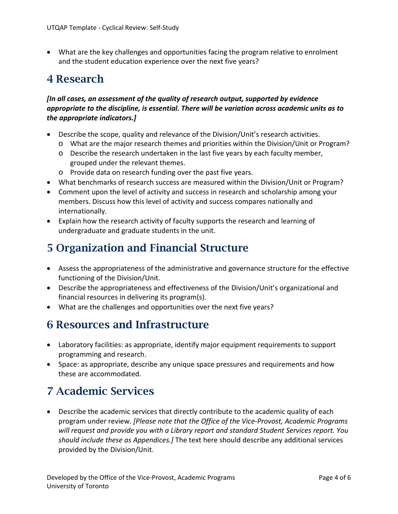• What are the key challenges and opportunities facing the program relative to enrolment and the student education experience over the next five years?

### 4 Research

#### *[In all cases, an assessment of the quality of research output, supported by evidence appropriate to the discipline, is essential. There will be variation across academic units as to the appropriate indicators.]*

- Describe the scope, quality and relevance of the Division/Unit's research activities.
	- o What are the major research themes and priorities within the Division/Unit or Program?
	- o Describe the research undertaken in the last five years by each faculty member, grouped under the relevant themes.
	- o Provide data on research funding over the past five years.
- What benchmarks of research success are measured within the Division/Unit or Program?
- Comment upon the level of activity and success in research and scholarship among your members. Discuss how this level of activity and success compares nationally and internationally.
- Explain how the research activity of faculty supports the research and learning of undergraduate and graduate students in the unit.

### 5 Organization and Financial Structure

- Assess the appropriateness of the administrative and governance structure for the effective functioning of the Division/Unit.
- Describe the appropriateness and effectiveness of the Division/Unit's organizational and financial resources in delivering its program(s).
- What are the challenges and opportunities over the next five years?

### 6 Resources and Infrastructure

- Laboratory facilities: as appropriate, identify major equipment requirements to support programming and research.
- Space: as appropriate, describe any unique space pressures and requirements and how these are accommodated.

## 7 Academic Services

• Describe the academic services that directly contribute to the academic quality of each program under review. *[Please note that the Office of the Vice-Provost, Academic Programs will request and provide you with a Library report and standard Student Services report. You should include these as Appendices.]* The text here should describe any additional services provided by the Division/Unit.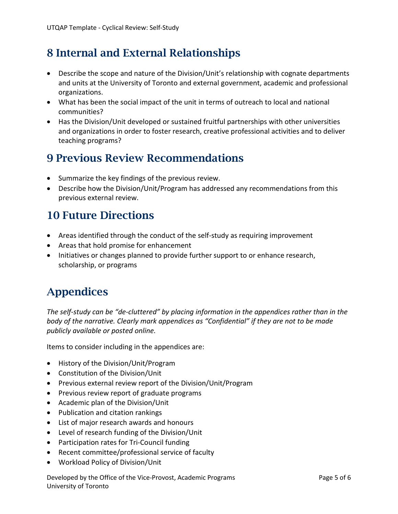## 8 Internal and External Relationships

- Describe the scope and nature of the Division/Unit's relationship with cognate departments and units at the University of Toronto and external government, academic and professional organizations.
- What has been the social impact of the unit in terms of outreach to local and national communities?
- Has the Division/Unit developed or sustained fruitful partnerships with other universities and organizations in order to foster research, creative professional activities and to deliver teaching programs?

### 9 Previous Review Recommendations

- Summarize the key findings of the previous review.
- Describe how the Division/Unit/Program has addressed any recommendations from this previous external review.

### 10 Future Directions

- Areas identified through the conduct of the self-study as requiring improvement
- Areas that hold promise for enhancement
- Initiatives or changes planned to provide further support to or enhance research, scholarship, or programs

## Appendices

*The self-study can be "de-cluttered" by placing information in the appendices rather than in the body of the narrative. Clearly mark appendices as "Confidential" if they are not to be made publicly available or posted online.*

Items to consider including in the appendices are:

- History of the Division/Unit/Program
- Constitution of the Division/Unit
- Previous external review report of the Division/Unit/Program
- Previous review report of graduate programs
- Academic plan of the Division/Unit
- Publication and citation rankings
- List of major research awards and honours
- Level of research funding of the Division/Unit
- Participation rates for Tri-Council funding
- Recent committee/professional service of faculty
- Workload Policy of Division/Unit